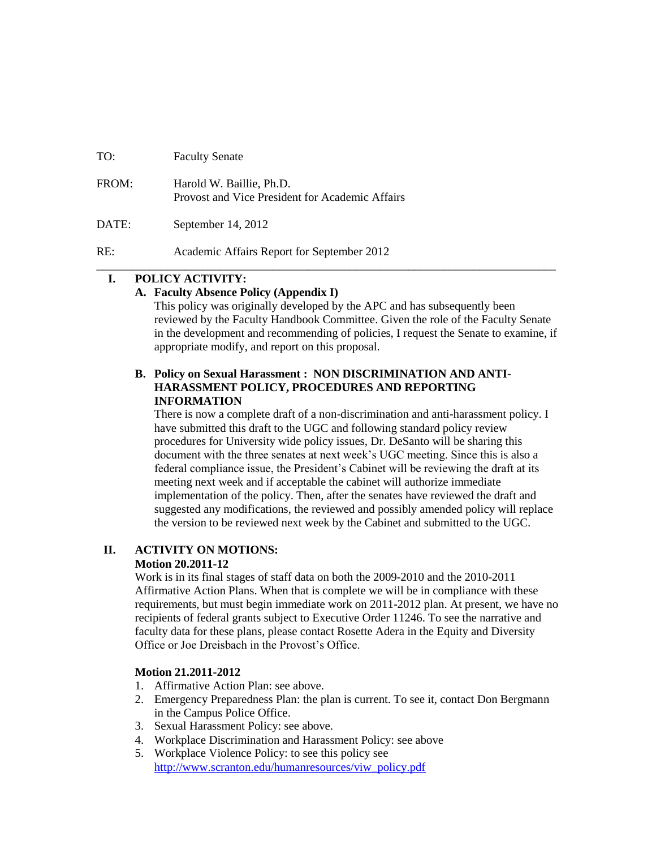| TO:   | <b>Faculty Senate</b>                                                       |
|-------|-----------------------------------------------------------------------------|
| FROM: | Harold W. Baillie, Ph.D.<br>Provost and Vice President for Academic Affairs |
| DATE: | September 14, 2012                                                          |
| RE:   | Academic Affairs Report for September 2012                                  |

## **I. POLICY ACTIVITY:**

#### **A. Faculty Absence Policy (Appendix I)**

This policy was originally developed by the APC and has subsequently been reviewed by the Faculty Handbook Committee. Given the role of the Faculty Senate in the development and recommending of policies, I request the Senate to examine, if appropriate modify, and report on this proposal.

## **B. Policy on Sexual Harassment : NON DISCRIMINATION AND ANTI-HARASSMENT POLICY, PROCEDURES AND REPORTING INFORMATION**

\_\_\_\_\_\_\_\_\_\_\_\_\_\_\_\_\_\_\_\_\_\_\_\_\_\_\_\_\_\_\_\_\_\_\_\_\_\_\_\_\_\_\_\_\_\_\_\_\_\_\_\_\_\_\_\_\_\_\_\_\_\_\_\_\_\_\_\_\_\_\_\_\_\_\_\_\_\_

There is now a complete draft of a non-discrimination and anti-harassment policy. I have submitted this draft to the UGC and following standard policy review procedures for University wide policy issues, Dr. DeSanto will be sharing this document with the three senates at next week's UGC meeting. Since this is also a federal compliance issue, the President's Cabinet will be reviewing the draft at its meeting next week and if acceptable the cabinet will authorize immediate implementation of the policy. Then, after the senates have reviewed the draft and suggested any modifications, the reviewed and possibly amended policy will replace the version to be reviewed next week by the Cabinet and submitted to the UGC.

### **II. ACTIVITY ON MOTIONS:**

### **Motion 20.2011-12**

Work is in its final stages of staff data on both the 2009-2010 and the 2010-2011 Affirmative Action Plans. When that is complete we will be in compliance with these requirements, but must begin immediate work on 2011-2012 plan. At present, we have no recipients of federal grants subject to Executive Order 11246. To see the narrative and faculty data for these plans, please contact Rosette Adera in the Equity and Diversity Office or Joe Dreisbach in the Provost's Office.

### **Motion 21.2011-2012**

- 1. Affirmative Action Plan: see above.
- 2. Emergency Preparedness Plan: the plan is current. To see it, contact Don Bergmann in the Campus Police Office.
- 3. Sexual Harassment Policy: see above.
- 4. Workplace Discrimination and Harassment Policy: see above
- 5. Workplace Violence Policy: to see this policy see [http://www.scranton.edu/humanresources/viw\\_policy.pdf](http://www.scranton.edu/humanresources/viw_policy.pdf)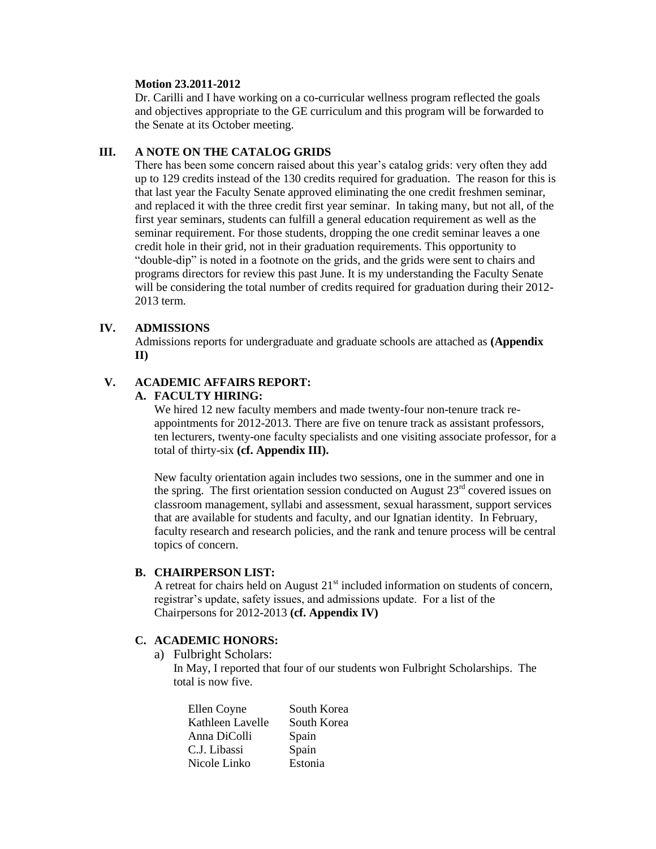#### **Motion 23.2011-2012**

Dr. Carilli and I have working on a co-curricular wellness program reflected the goals and objectives appropriate to the GE curriculum and this program will be forwarded to the Senate at its October meeting.

#### **III. A NOTE ON THE CATALOG GRIDS**

There has been some concern raised about this year's catalog grids: very often they add up to 129 credits instead of the 130 credits required for graduation. The reason for this is that last year the Faculty Senate approved eliminating the one credit freshmen seminar, and replaced it with the three credit first year seminar. In taking many, but not all, of the first year seminars, students can fulfill a general education requirement as well as the seminar requirement. For those students, dropping the one credit seminar leaves a one credit hole in their grid, not in their graduation requirements. This opportunity to "double-dip" is noted in a footnote on the grids, and the grids were sent to chairs and programs directors for review this past June. It is my understanding the Faculty Senate will be considering the total number of credits required for graduation during their 2012- 2013 term.

### **IV. ADMISSIONS**

Admissions reports for undergraduate and graduate schools are attached as **(Appendix II)**

### **V. ACADEMIC AFFAIRS REPORT:**

#### **A. FACULTY HIRING:**

We hired 12 new faculty members and made twenty-four non-tenure track reappointments for 2012-2013. There are five on tenure track as assistant professors, ten lecturers, twenty-one faculty specialists and one visiting associate professor, for a total of thirty-six **(cf. Appendix III).**

New faculty orientation again includes two sessions, one in the summer and one in the spring. The first orientation session conducted on August  $23<sup>rd</sup>$  covered issues on classroom management, syllabi and assessment, sexual harassment, support services that are available for students and faculty, and our Ignatian identity. In February, faculty research and research policies, and the rank and tenure process will be central topics of concern.

### **B. CHAIRPERSON LIST:**

A retreat for chairs held on August  $21<sup>st</sup>$  included information on students of concern, registrar's update, safety issues, and admissions update. For a list of the Chairpersons for 2012-2013 **(cf. Appendix IV)**

### **C. ACADEMIC HONORS:**

a) Fulbright Scholars:

In May, I reported that four of our students won Fulbright Scholarships. The total is now five.

| Ellen Coyne      | South Korea |
|------------------|-------------|
| Kathleen Lavelle | South Korea |
| Anna DiColli     | Spain       |
| C.J. Libassi     | Spain       |
| Nicole Linko     | Estonia     |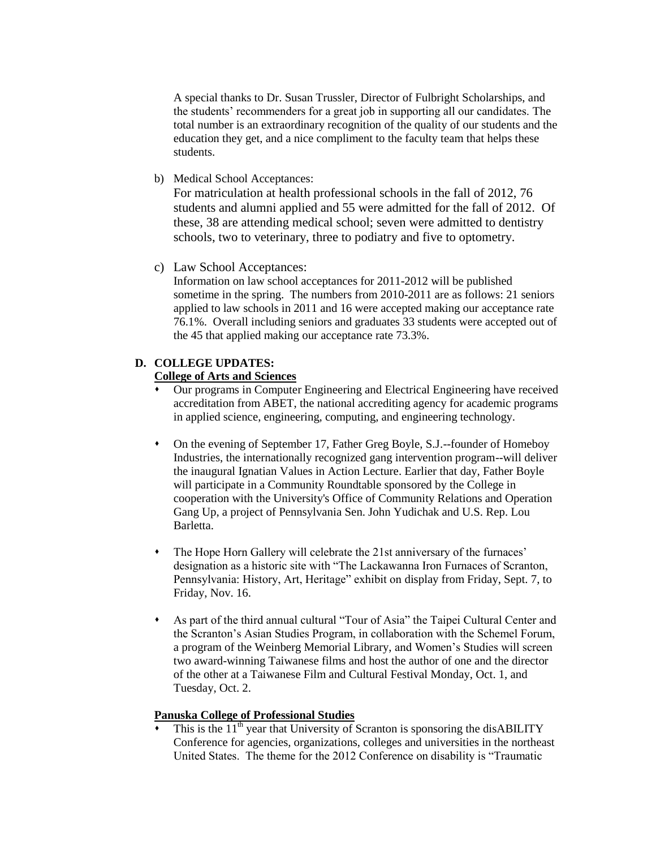A special thanks to Dr. Susan Trussler, Director of Fulbright Scholarships, and the students' recommenders for a great job in supporting all our candidates. The total number is an extraordinary recognition of the quality of our students and the education they get, and a nice compliment to the faculty team that helps these students.

b) Medical School Acceptances:

For matriculation at health professional schools in the fall of 2012, 76 students and alumni applied and 55 were admitted for the fall of 2012. Of these, 38 are attending medical school; seven were admitted to dentistry schools, two to veterinary, three to podiatry and five to optometry.

c) Law School Acceptances:

Information on law school acceptances for 2011-2012 will be published sometime in the spring. The numbers from 2010-2011 are as follows: 21 seniors applied to law schools in 2011 and 16 were accepted making our acceptance rate 76.1%. Overall including seniors and graduates 33 students were accepted out of the 45 that applied making our acceptance rate 73.3%.

## **D. COLLEGE UPDATES: College of Arts and Sciences**

- Our programs in Computer Engineering and Electrical Engineering have received accreditation from ABET, the national accrediting agency for academic programs in applied science, engineering, computing, and engineering technology.
- On the evening of September 17, Father Greg Boyle, S.J.--founder of Homeboy Industries, the internationally recognized gang intervention program--will deliver the inaugural Ignatian Values in Action Lecture. Earlier that day, Father Boyle will participate in a Community Roundtable sponsored by the College in cooperation with the University's Office of Community Relations and Operation Gang Up, a project of Pennsylvania Sen. John Yudichak and U.S. Rep. Lou Barletta.
- The Hope Horn Gallery will celebrate the 21st anniversary of the furnaces' designation as a historic site with "The Lackawanna Iron Furnaces of Scranton, Pennsylvania: History, Art, Heritage" exhibit on display from Friday, Sept. 7, to Friday, Nov. 16.
- As part of the third annual cultural "Tour of Asia" the Taipei Cultural Center and the Scranton's Asian Studies Program, in collaboration with the Schemel Forum, a program of the Weinberg Memorial Library, and Women's Studies will screen two award-winning Taiwanese films and host the author of one and the director of the other at a Taiwanese Film and Cultural Festival Monday, Oct. 1, and Tuesday, Oct. 2.

## **Panuska College of Professional Studies**

This is the  $11<sup>th</sup>$  year that University of Scranton is sponsoring the disABILITY Conference for agencies, organizations, colleges and universities in the northeast United States. The theme for the 2012 Conference on disability is "Traumatic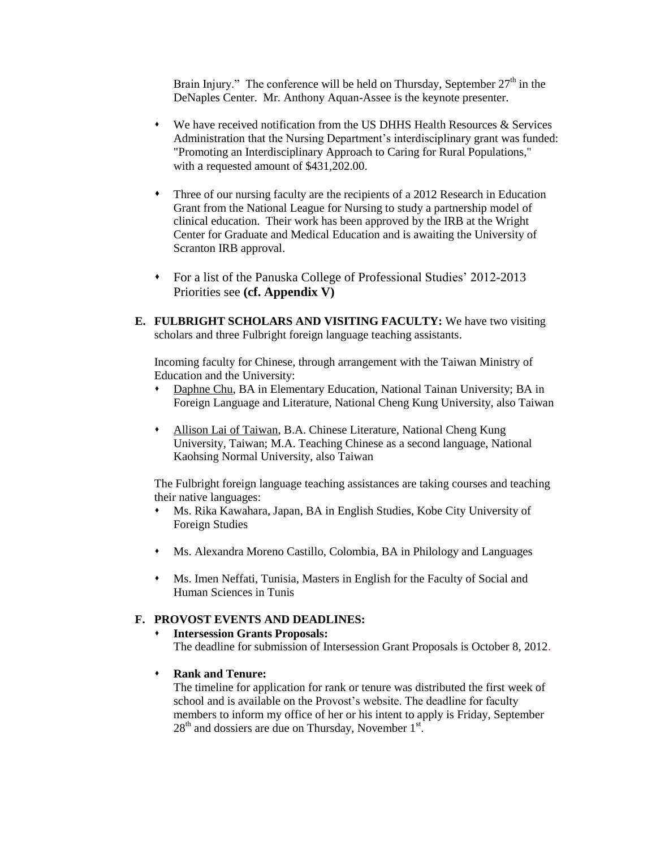Brain Injury." The conference will be held on Thursday, September  $27<sup>th</sup>$  in the DeNaples Center. Mr. Anthony Aquan-Assee is the keynote presenter.

- We have received notification from the US DHHS Health Resources & Services Administration that the Nursing Department's interdisciplinary grant was funded: "Promoting an Interdisciplinary Approach to Caring for Rural Populations," with a requested amount of \$431,202.00.
- Three of our nursing faculty are the recipients of a 2012 Research in Education Grant from the National League for Nursing to study a partnership model of clinical education. Their work has been approved by the IRB at the Wright Center for Graduate and Medical Education and is awaiting the University of Scranton IRB approval.
- For a list of the Panuska College of Professional Studies' 2012-2013 Priorities see **(cf. Appendix V)**
- **E. FULBRIGHT SCHOLARS AND VISITING FACULTY:** We have two visiting scholars and three Fulbright foreign language teaching assistants.

Incoming faculty for Chinese, through arrangement with the Taiwan Ministry of Education and the University:

- Daphne Chu, BA in Elementary Education, National Tainan University; BA in Foreign Language and Literature, National Cheng Kung University, also Taiwan
- Allison Lai of Taiwan, B.A. Chinese Literature, National Cheng Kung University, Taiwan; M.A. Teaching Chinese as a second language, National Kaohsing Normal University, also Taiwan

The Fulbright foreign language teaching assistances are taking courses and teaching their native languages:

- Ms. Rika Kawahara, Japan, BA in English Studies, Kobe City University of Foreign Studies
- Ms. Alexandra Moreno Castillo, Colombia, BA in Philology and Languages
- Ms. Imen Neffati, Tunisia, Masters in English for the Faculty of Social and Human Sciences in Tunis

## **F. PROVOST EVENTS AND DEADLINES:**

#### **Intersession Grants Proposals:** The deadline for submission of Intersession Grant Proposals is October 8, 2012.

**Rank and Tenure:**

The timeline for application for rank or tenure was distributed the first week of school and is available on the Provost's website. The deadline for faculty members to inform my office of her or his intent to apply is Friday, September  $28<sup>th</sup>$  and dossiers are due on Thursday, November  $1<sup>st</sup>$ .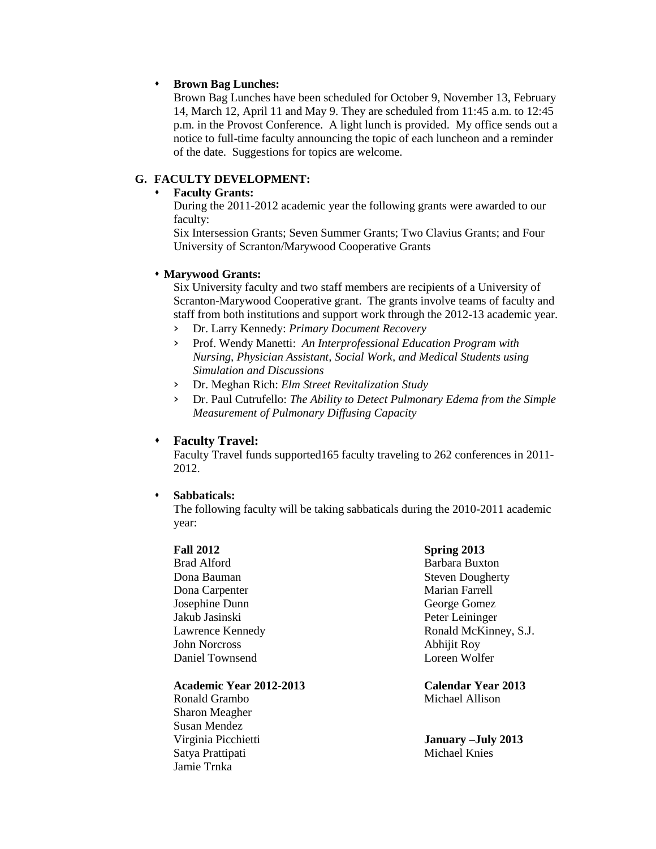#### **Brown Bag Lunches:**

Brown Bag Lunches have been scheduled for October 9, November 13, February 14, March 12, April 11 and May 9. They are scheduled from 11:45 a.m. to 12:45 p.m. in the Provost Conference. A light lunch is provided. My office sends out a notice to full-time faculty announcing the topic of each luncheon and a reminder of the date. Suggestions for topics are welcome.

## **G. FACULTY DEVELOPMENT:**

#### **Faculty Grants:**

During the 2011-2012 academic year the following grants were awarded to our faculty:

Six Intersession Grants; Seven Summer Grants; Two Clavius Grants; and Four University of Scranton/Marywood Cooperative Grants

#### **Marywood Grants:**

Six University faculty and two staff members are recipients of a University of Scranton-Marywood Cooperative grant. The grants involve teams of faculty and staff from both institutions and support work through the 2012-13 academic year.

- › Dr. Larry Kennedy: *Primary Document Recovery*
- › Prof. Wendy Manetti: *An Interprofessional Education Program with Nursing, Physician Assistant, Social Work, and Medical Students using Simulation and Discussions*
- › Dr. Meghan Rich: *Elm Street Revitalization Study*
- › Dr. Paul Cutrufello: *The Ability to Detect Pulmonary Edema from the Simple Measurement of Pulmonary Diffusing Capacity*

#### **Faculty Travel:**

Faculty Travel funds supported165 faculty traveling to 262 conferences in 2011- 2012.

**Sabbaticals:**

The following faculty will be taking sabbaticals during the 2010-2011 academic year:

#### **Fall 2012**

Brad Alford Dona Bauman Dona Carpenter Josephine Dunn Jakub Jasinski Lawrence Kennedy John Norcross Daniel Townsend

#### **Academic Year 2012-2013 Calendar Year 2013**

Ronald Grambo Michael Allison Sharon Meagher Susan Mendez Satya Prattipati Michael Knies Jamie Trnka

#### **Spring 2013**

Barbara Buxton Steven Dougherty Marian Farrell George Gomez Peter Leininger Ronald McKinney, S.J. Abhijit Roy Loreen Wolfer

Virginia Picchietti **January –July 2013**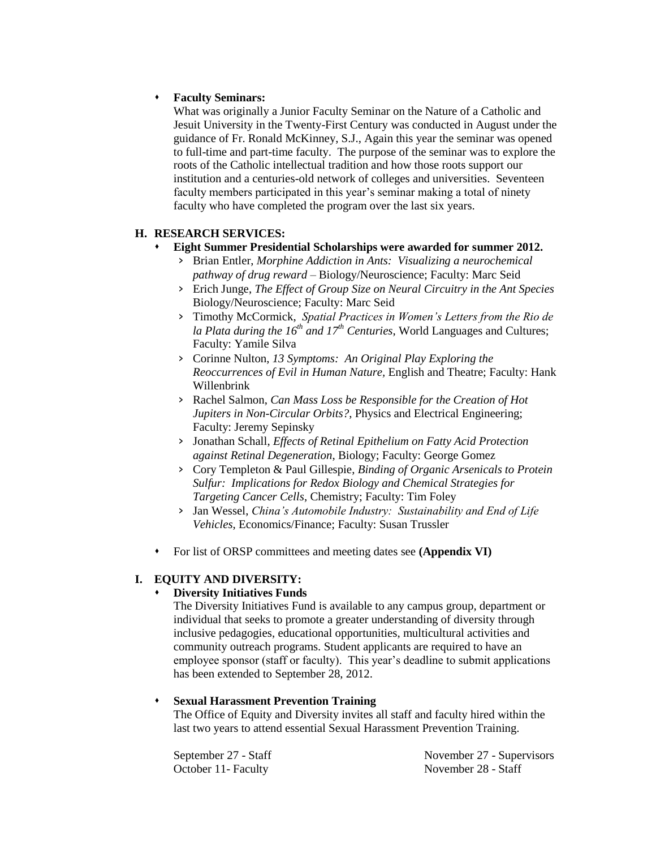## **Faculty Seminars:**

What was originally a Junior Faculty Seminar on the Nature of a Catholic and Jesuit University in the Twenty-First Century was conducted in August under the guidance of Fr. Ronald McKinney, S.J., Again this year the seminar was opened to full-time and part-time faculty. The purpose of the seminar was to explore the roots of the Catholic intellectual tradition and how those roots support our institution and a centuries-old network of colleges and universities. Seventeen faculty members participated in this year's seminar making a total of ninety faculty who have completed the program over the last six years.

## **H. RESEARCH SERVICES:**

### **Eight Summer Presidential Scholarships were awarded for summer 2012.**

- › Brian Entler, *Morphine Addiction in Ants: Visualizing a neurochemical pathway of drug reward* – Biology/Neuroscience; Faculty: Marc Seid
- › Erich Junge, *The Effect of Group Size on Neural Circuitry in the Ant Species* Biology/Neuroscience; Faculty: Marc Seid
- › Timothy McCormick, *Spatial Practices in Women's Letters from the Rio de la Plata during the 16th and 17th Centuries*, World Languages and Cultures; Faculty: Yamile Silva
- › Corinne Nulton, *13 Symptoms: An Original Play Exploring the Reoccurrences of Evil in Human Nature,* English and Theatre; Faculty: Hank Willenbrink
- › Rachel Salmon, *Can Mass Loss be Responsible for the Creation of Hot Jupiters in Non-Circular Orbits?*, Physics and Electrical Engineering; Faculty: Jeremy Sepinsky
- › Jonathan Schall, *Effects of Retinal Epithelium on Fatty Acid Protection against Retinal Degeneration*, Biology; Faculty: George Gomez
- › Cory Templeton & Paul Gillespie, *Binding of Organic Arsenicals to Protein Sulfur: Implications for Redox Biology and Chemical Strategies for Targeting Cancer Cells*, Chemistry; Faculty: Tim Foley
- › Jan Wessel, *China's Automobile Industry: Sustainability and End of Life Vehicles*, Economics/Finance; Faculty: Susan Trussler
- For list of ORSP committees and meeting dates see **(Appendix VI)**

## **I. EQUITY AND DIVERSITY:**

## **Diversity Initiatives Funds**

The Diversity Initiatives Fund is available to any campus group, department or individual that seeks to promote a greater understanding of diversity through inclusive pedagogies, educational opportunities, multicultural activities and community outreach programs. Student applicants are required to have an employee sponsor (staff or faculty). This year's deadline to submit applications has been extended to September 28, 2012.

## **Sexual Harassment Prevention Training**

The Office of Equity and Diversity invites all staff and faculty hired within the last two years to attend essential Sexual Harassment Prevention Training.

September 27 - Staff October 11- Faculty

November 27 - Supervisors November 28 - Staff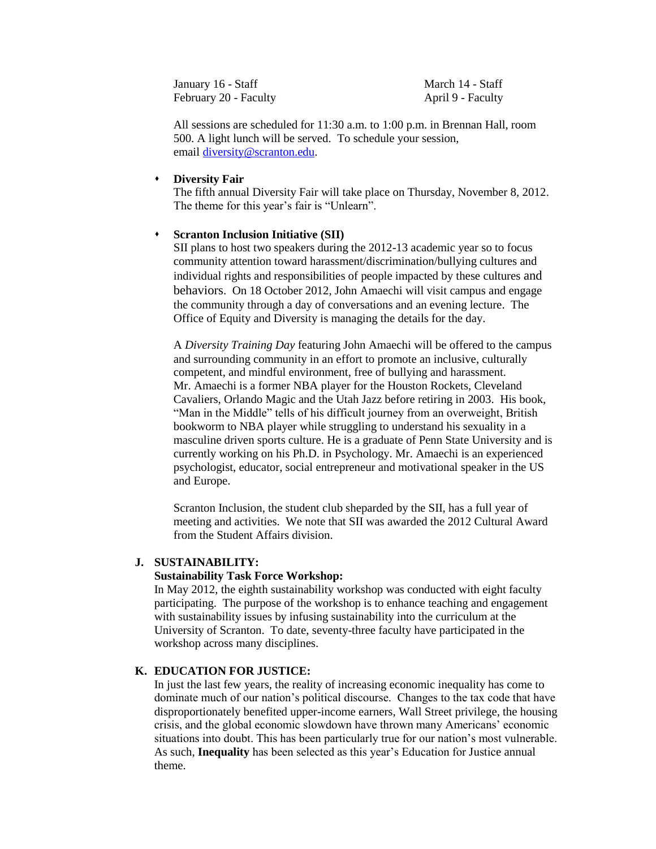January 16 - Staff February 20 - Faculty March 14 - Staff April 9 - Faculty

All sessions are scheduled for 11:30 a.m. to 1:00 p.m. in Brennan Hall, room 500. A light lunch will be served. To schedule your session, email [diversity@scranton.edu.](mailto:diversity@scranton.edu)

#### **Diversity Fair**

The fifth annual Diversity Fair will take place on Thursday, November 8, 2012. The theme for this year's fair is "Unlearn".

#### **Scranton Inclusion Initiative (SII)**

SII plans to host two speakers during the 2012-13 academic year so to focus community attention toward harassment/discrimination/bullying cultures and individual rights and responsibilities of people impacted by these cultures and behaviors. On 18 October 2012, John Amaechi will visit campus and engage the community through a day of conversations and an evening lecture. The Office of Equity and Diversity is managing the details for the day.

A *Diversity Training Day* featuring John Amaechi will be offered to the campus and surrounding community in an effort to promote an inclusive, culturally competent, and mindful environment, free of bullying and harassment. Mr. Amaechi is a former NBA player for the Houston Rockets, Cleveland Cavaliers, Orlando Magic and the Utah Jazz before retiring in 2003. His book, "Man in the Middle" tells of his difficult journey from an overweight, British bookworm to NBA player while struggling to understand his sexuality in a masculine driven sports culture. He is a graduate of Penn State University and is currently working on his Ph.D. in Psychology. Mr. Amaechi is an experienced psychologist, educator, social entrepreneur and motivational speaker in the US and Europe.

Scranton Inclusion, the student club sheparded by the SII, has a full year of meeting and activities. We note that SII was awarded the 2012 Cultural Award from the Student Affairs division.

#### **J. SUSTAINABILITY:**

#### **Sustainability Task Force Workshop:**

In May 2012, the eighth sustainability workshop was conducted with eight faculty participating. The purpose of the workshop is to enhance teaching and engagement with sustainability issues by infusing sustainability into the curriculum at the University of Scranton. To date, seventy-three faculty have participated in the workshop across many disciplines.

### **K. EDUCATION FOR JUSTICE:**

In just the last few years, the reality of increasing economic inequality has come to dominate much of our nation's political discourse. Changes to the tax code that have disproportionately benefited upper-income earners, Wall Street privilege, the housing crisis, and the global economic slowdown have thrown many Americans' economic situations into doubt. This has been particularly true for our nation's most vulnerable. As such, **Inequality** has been selected as this year's Education for Justice annual theme.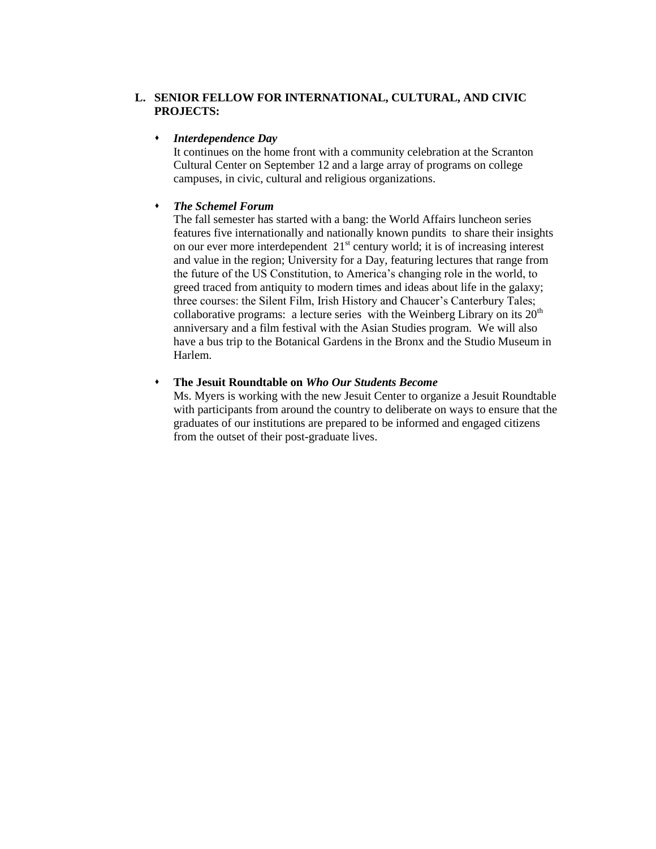## **L. SENIOR FELLOW FOR INTERNATIONAL, CULTURAL, AND CIVIC PROJECTS:**

## *Interdependence Day*

It continues on the home front with a community celebration at the Scranton Cultural Center on September 12 and a large array of programs on college campuses, in civic, cultural and religious organizations.

#### *The Schemel Forum*

The fall semester has started with a bang: the World Affairs luncheon series features five internationally and nationally known pundits to share their insights on our ever more interdependent 21<sup>st</sup> century world; it is of increasing interest and value in the region; University for a Day, featuring lectures that range from the future of the US Constitution, to America's changing role in the world, to greed traced from antiquity to modern times and ideas about life in the galaxy; three courses: the Silent Film, Irish History and Chaucer's Canterbury Tales; collaborative programs: a lecture series with the Weinberg Library on its  $20<sup>th</sup>$ anniversary and a film festival with the Asian Studies program. We will also have a bus trip to the Botanical Gardens in the Bronx and the Studio Museum in Harlem.

#### **The Jesuit Roundtable on** *Who Our Students Become*

Ms. Myers is working with the new Jesuit Center to organize a Jesuit Roundtable with participants from around the country to deliberate on ways to ensure that the graduates of our institutions are prepared to be informed and engaged citizens from the outset of their post-graduate lives.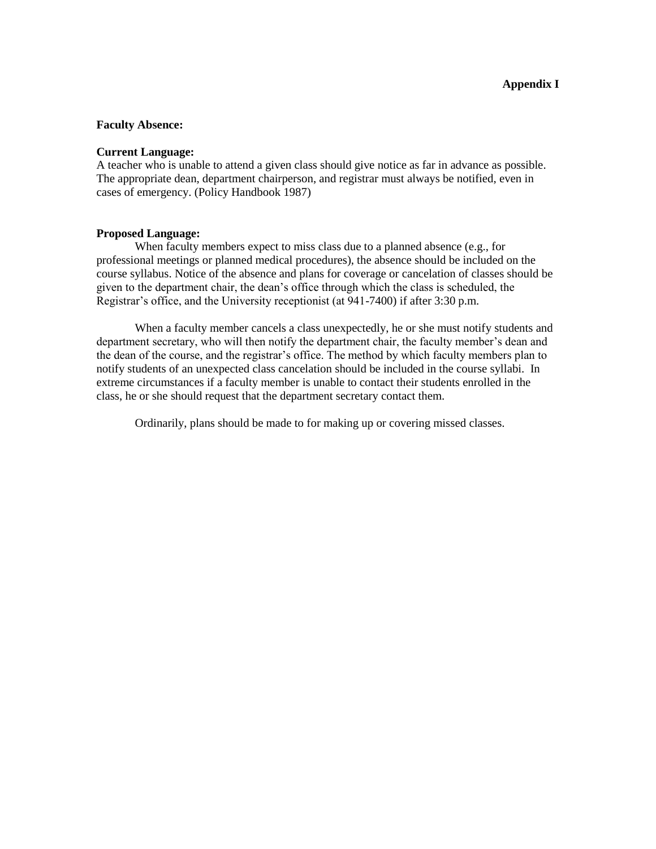#### **Faculty Absence:**

#### **Current Language:**

A teacher who is unable to attend a given class should give notice as far in advance as possible. The appropriate dean, department chairperson, and registrar must always be notified, even in cases of emergency. (Policy Handbook 1987)

#### **Proposed Language:**

When faculty members expect to miss class due to a planned absence (e.g., for professional meetings or planned medical procedures), the absence should be included on the course syllabus. Notice of the absence and plans for coverage or cancelation of classes should be given to the department chair, the dean's office through which the class is scheduled, the Registrar's office, and the University receptionist (at 941-7400) if after 3:30 p.m.

When a faculty member cancels a class unexpectedly, he or she must notify students and department secretary, who will then notify the department chair, the faculty member's dean and the dean of the course, and the registrar's office. The method by which faculty members plan to notify students of an unexpected class cancelation should be included in the course syllabi. In extreme circumstances if a faculty member is unable to contact their students enrolled in the class, he or she should request that the department secretary contact them.

Ordinarily, plans should be made to for making up or covering missed classes.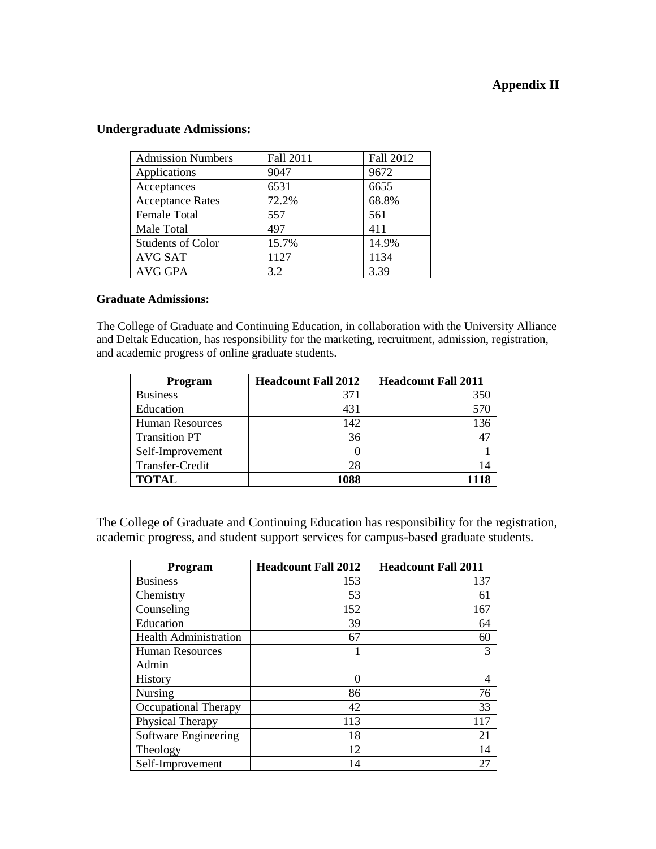## **Appendix II**

## **Undergraduate Admissions:**

| <b>Admission Numbers</b> | Fall 2011 | Fall 2012 |
|--------------------------|-----------|-----------|
| Applications             | 9047      | 9672      |
| Acceptances              | 6531      | 6655      |
| <b>Acceptance Rates</b>  | 72.2%     | 68.8%     |
| Female Total             | 557       | 561       |
| Male Total               | 497       | 411       |
| <b>Students of Color</b> | 15.7%     | 14.9%     |
| <b>AVG SAT</b>           | 1127      | 1134      |
| AVG GPA                  | 3.2       | 3.39      |

## **Graduate Admissions:**

The College of Graduate and Continuing Education, in collaboration with the University Alliance and Deltak Education, has responsibility for the marketing, recruitment, admission, registration, and academic progress of online graduate students.

| <b>Program</b>         | <b>Headcount Fall 2012</b> | <b>Headcount Fall 2011</b> |
|------------------------|----------------------------|----------------------------|
| <b>Business</b>        | 371                        | 350                        |
| Education              | 431                        | 570                        |
| <b>Human Resources</b> | 142                        | 136                        |
| <b>Transition PT</b>   | 36                         | 47                         |
| Self-Improvement       | 0                          |                            |
| Transfer-Credit        | 28                         | 14                         |
| <b>TOTAL</b>           | 1088                       |                            |

The College of Graduate and Continuing Education has responsibility for the registration, academic progress, and student support services for campus-based graduate students.

| <b>Program</b>               | <b>Headcount Fall 2012</b> | <b>Headcount Fall 2011</b> |
|------------------------------|----------------------------|----------------------------|
| <b>Business</b>              | 153                        | 137                        |
| Chemistry                    | 53                         | 61                         |
| Counseling                   | 152                        | 167                        |
| Education                    | 39                         | 64                         |
| <b>Health Administration</b> | 67                         | 60                         |
| <b>Human Resources</b>       |                            | 3                          |
| Admin                        |                            |                            |
| History                      | 0                          | 4                          |
| Nursing                      | 86                         | 76                         |
| <b>Occupational Therapy</b>  | 42                         | 33                         |
| Physical Therapy             | 113                        | 117                        |
| Software Engineering         | 18                         | 21                         |
| Theology                     | 12                         | 14                         |
| Self-Improvement             | 14                         | 27                         |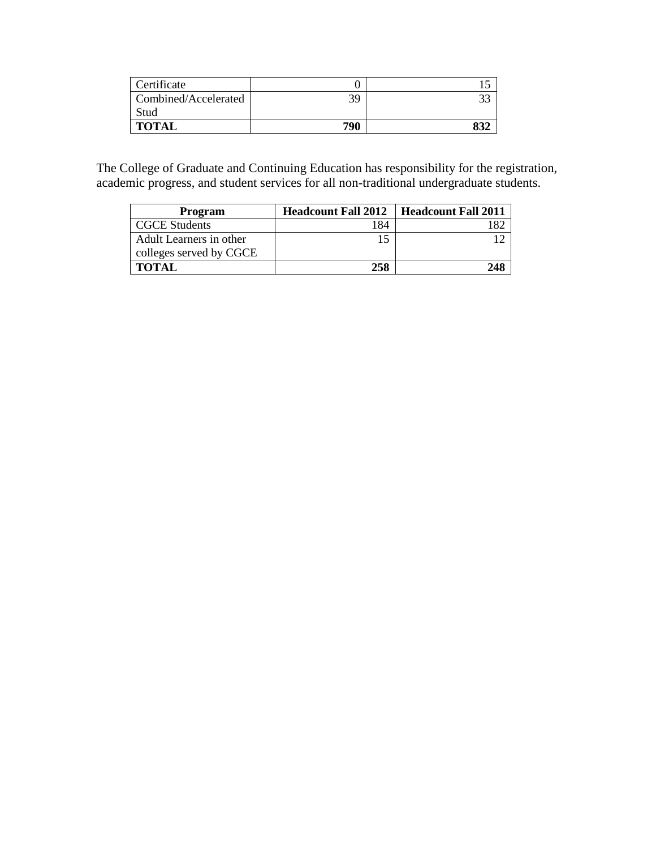| Certificate          |     |    |
|----------------------|-----|----|
| Combined/Accelerated | 39  |    |
| Stud                 |     |    |
| <b>TOTAL</b>         | 790 | O) |

The College of Graduate and Continuing Education has responsibility for the registration, academic progress, and student services for all non-traditional undergraduate students.

| Program                 | <b>Headcount Fall 2012</b> | <b>Headcount Fall 2011</b> |
|-------------------------|----------------------------|----------------------------|
| <b>CGCE Students</b>    | 184                        |                            |
| Adult Learners in other |                            |                            |
| colleges served by CGCE |                            |                            |
| <b>TOTAL</b>            | 258                        |                            |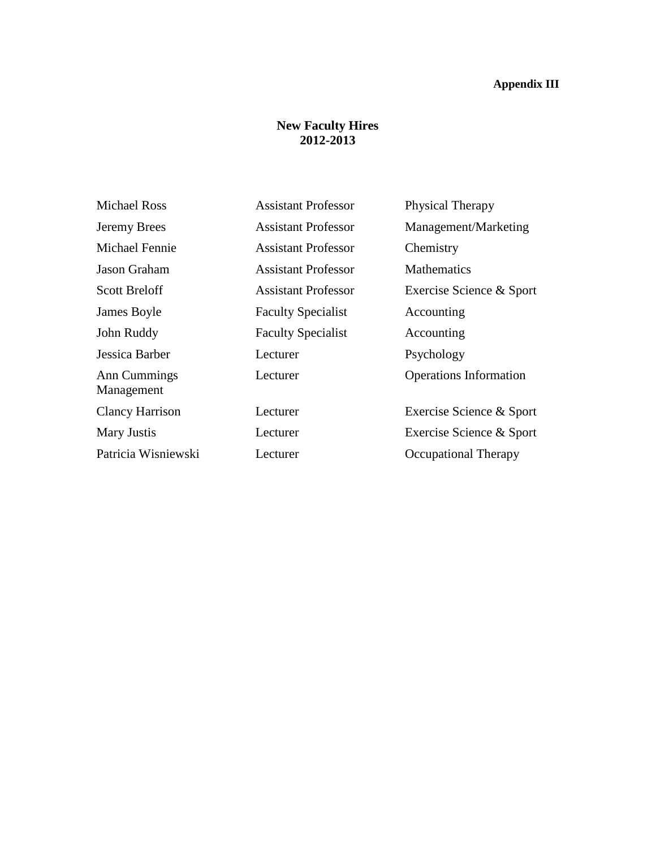# **Appendix III**

# **New Faculty Hires 2012-2013**

| <b>Michael Ross</b>        | <b>Assistant Professor</b> | Physical Therapy              |
|----------------------------|----------------------------|-------------------------------|
| Jeremy Brees               | <b>Assistant Professor</b> | Management/Marketing          |
| <b>Michael Fennie</b>      | <b>Assistant Professor</b> | Chemistry                     |
| <b>Jason Graham</b>        | <b>Assistant Professor</b> | <b>Mathematics</b>            |
| <b>Scott Breloff</b>       | <b>Assistant Professor</b> | Exercise Science & Sport      |
| James Boyle                | <b>Faculty Specialist</b>  | Accounting                    |
| John Ruddy                 | <b>Faculty Specialist</b>  | Accounting                    |
| Jessica Barber             | Lecturer                   | Psychology                    |
| Ann Cummings<br>Management | Lecturer                   | <b>Operations Information</b> |
| <b>Clancy Harrison</b>     | Lecturer                   | Exercise Science & Sport      |
| Mary Justis                | Lecturer                   | Exercise Science & Sport      |
| Patricia Wisniewski        | Lecturer                   | <b>Occupational Therapy</b>   |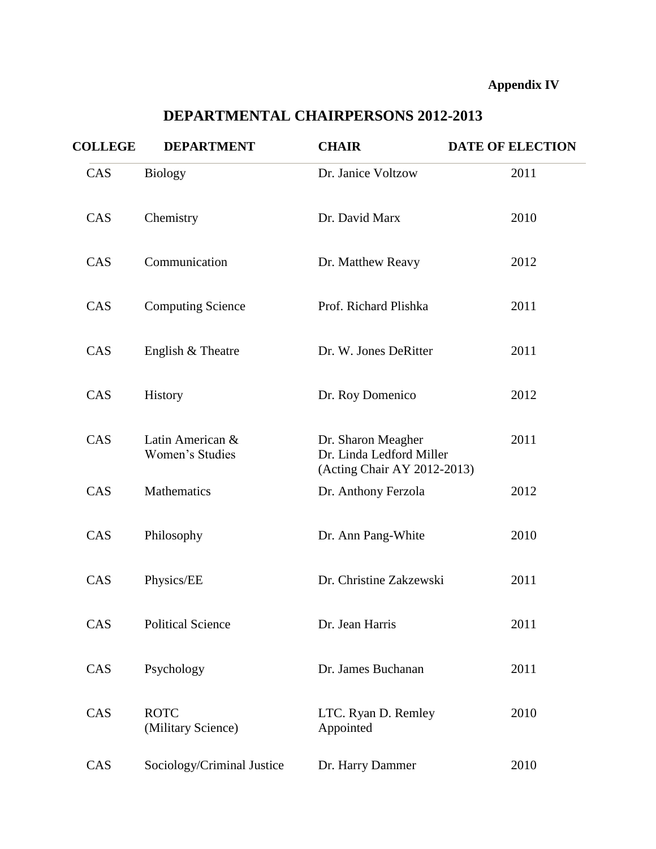# **Appendix IV**

| <b>COLLEGE</b> | <b>DEPARTMENT</b>                   | <b>CHAIR</b>                                                                  | <b>DATE OF ELECTION</b> |
|----------------|-------------------------------------|-------------------------------------------------------------------------------|-------------------------|
| CAS            | <b>Biology</b>                      | Dr. Janice Voltzow                                                            | 2011                    |
| CAS            | Chemistry                           | Dr. David Marx                                                                | 2010                    |
| CAS            | Communication                       | Dr. Matthew Reavy                                                             | 2012                    |
| CAS            | <b>Computing Science</b>            | Prof. Richard Plishka                                                         | 2011                    |
| CAS            | English & Theatre                   | Dr. W. Jones DeRitter                                                         | 2011                    |
| CAS            | History                             | Dr. Roy Domenico                                                              | 2012                    |
| CAS            | Latin American &<br>Women's Studies | Dr. Sharon Meagher<br>Dr. Linda Ledford Miller<br>(Acting Chair AY 2012-2013) | 2011                    |
| CAS            | Mathematics                         | Dr. Anthony Ferzola                                                           | 2012                    |
| CAS            | Philosophy                          | Dr. Ann Pang-White                                                            | 2010                    |
| CAS            | Physics/EE                          | Dr. Christine Zakzewski                                                       | 2011                    |
| CAS            | <b>Political Science</b>            | Dr. Jean Harris                                                               | 2011                    |
| CAS            | Psychology                          | Dr. James Buchanan                                                            | 2011                    |
| CAS            | <b>ROTC</b><br>(Military Science)   | LTC. Ryan D. Remley<br>Appointed                                              | 2010                    |
| CAS            | Sociology/Criminal Justice          | Dr. Harry Dammer                                                              | 2010                    |

# **DEPARTMENTAL CHAIRPERSONS 2012-2013**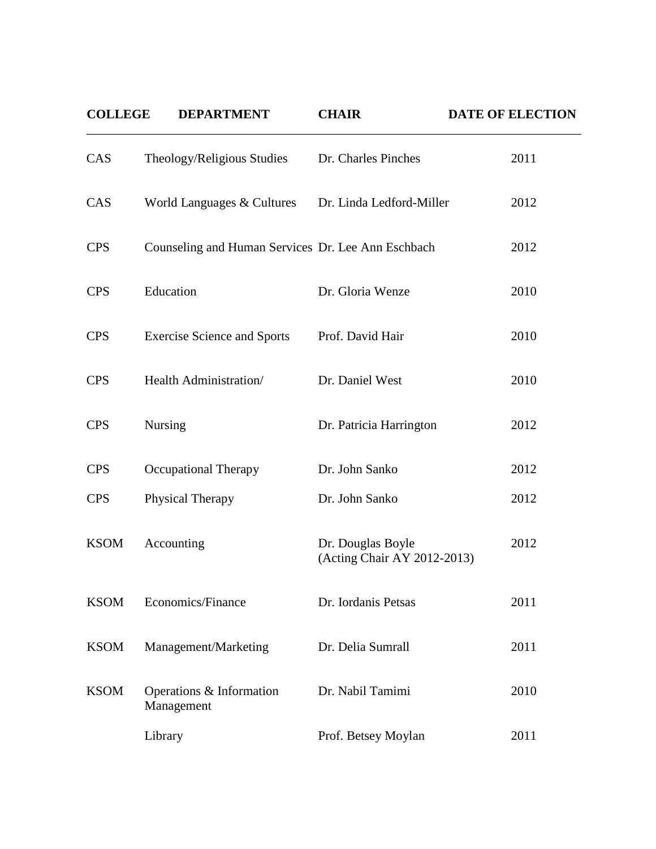| <b>COLLEGE</b> | <b>DEPARTMENT</b>                                  | <b>CHAIR</b>                                     | <b>DATE OF ELECTION</b> |
|----------------|----------------------------------------------------|--------------------------------------------------|-------------------------|
| CAS            | Theology/Religious Studies                         | Dr. Charles Pinches                              | 2011                    |
| CAS            | World Languages & Cultures                         | Dr. Linda Ledford-Miller                         | 2012                    |
| <b>CPS</b>     | Counseling and Human Services Dr. Lee Ann Eschbach |                                                  | 2012                    |
| <b>CPS</b>     | Education                                          | Dr. Gloria Wenze                                 | 2010                    |
| <b>CPS</b>     | <b>Exercise Science and Sports</b>                 | Prof. David Hair                                 | 2010                    |
| <b>CPS</b>     | Health Administration/                             | Dr. Daniel West                                  | 2010                    |
| <b>CPS</b>     | <b>Nursing</b>                                     | Dr. Patricia Harrington                          | 2012                    |
| <b>CPS</b>     | <b>Occupational Therapy</b>                        | Dr. John Sanko                                   | 2012                    |
| <b>CPS</b>     | Physical Therapy                                   | Dr. John Sanko                                   | 2012                    |
| <b>KSOM</b>    | Accounting                                         | Dr. Douglas Boyle<br>(Acting Chair AY 2012-2013) | 2012                    |
| <b>KSOM</b>    | Economics/Finance                                  | Dr. Iordanis Petsas                              | 2011                    |
| <b>KSOM</b>    | Management/Marketing                               | Dr. Delia Sumrall                                | 2011                    |
| <b>KSOM</b>    | Operations & Information<br>Management             | Dr. Nabil Tamimi                                 | 2010                    |
|                | Library                                            | Prof. Betsey Moylan                              | 2011                    |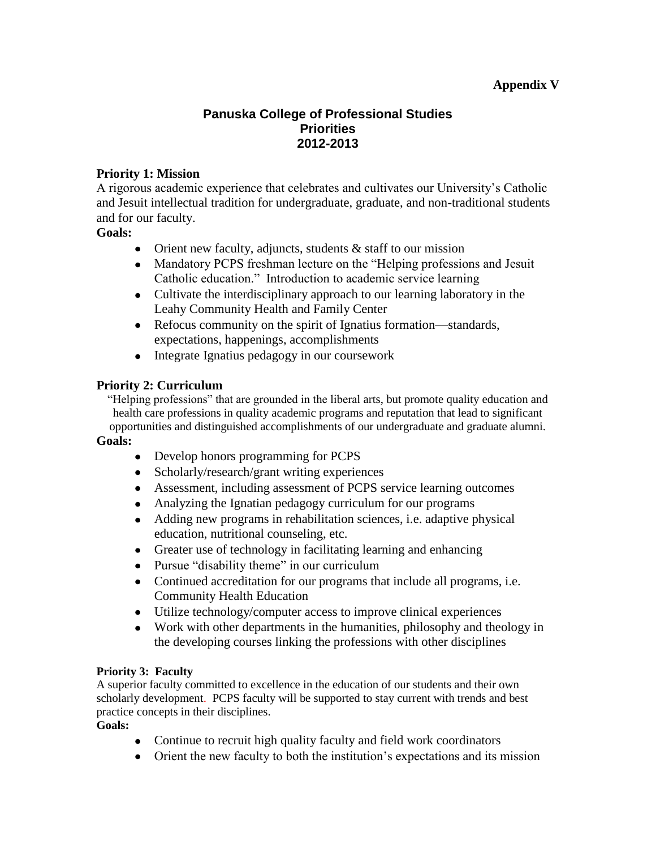## **Appendix V**

## **Panuska College of Professional Studies Priorities 2012-2013**

## **Priority 1: Mission**

A rigorous academic experience that celebrates and cultivates our University's Catholic and Jesuit intellectual tradition for undergraduate, graduate, and non-traditional students and for our faculty.

## **Goals:**

- Orient new faculty, adjuncts, students  $&$  staff to our mission
- Mandatory PCPS freshman lecture on the "Helping professions and Jesuit Catholic education." Introduction to academic service learning
- Cultivate the interdisciplinary approach to our learning laboratory in the Leahy Community Health and Family Center
- Refocus community on the spirit of Ignatius formation—standards, expectations, happenings, accomplishments
- Integrate Ignatius pedagogy in our coursework

## **Priority 2: Curriculum**

"Helping professions" that are grounded in the liberal arts, but promote quality education and health care professions in quality academic programs and reputation that lead to significant opportunities and distinguished accomplishments of our undergraduate and graduate alumni.

### **Goals:**

- Develop honors programming for PCPS
- Scholarly/research/grant writing experiences
- Assessment, including assessment of PCPS service learning outcomes
- Analyzing the Ignatian pedagogy curriculum for our programs
- Adding new programs in rehabilitation sciences, i.e. adaptive physical education, nutritional counseling, etc.
- Greater use of technology in facilitating learning and enhancing
- Pursue "disability theme" in our curriculum
- Continued accreditation for our programs that include all programs, i.e. Community Health Education
- Utilize technology/computer access to improve clinical experiences
- Work with other departments in the humanities, philosophy and theology in the developing courses linking the professions with other disciplines

## **Priority 3: Faculty**

A superior faculty committed to excellence in the education of our students and their own scholarly development. PCPS faculty will be supported to stay current with trends and best practice concepts in their disciplines.

### **Goals:**

- Continue to recruit high quality faculty and field work coordinators
- Orient the new faculty to both the institution's expectations and its mission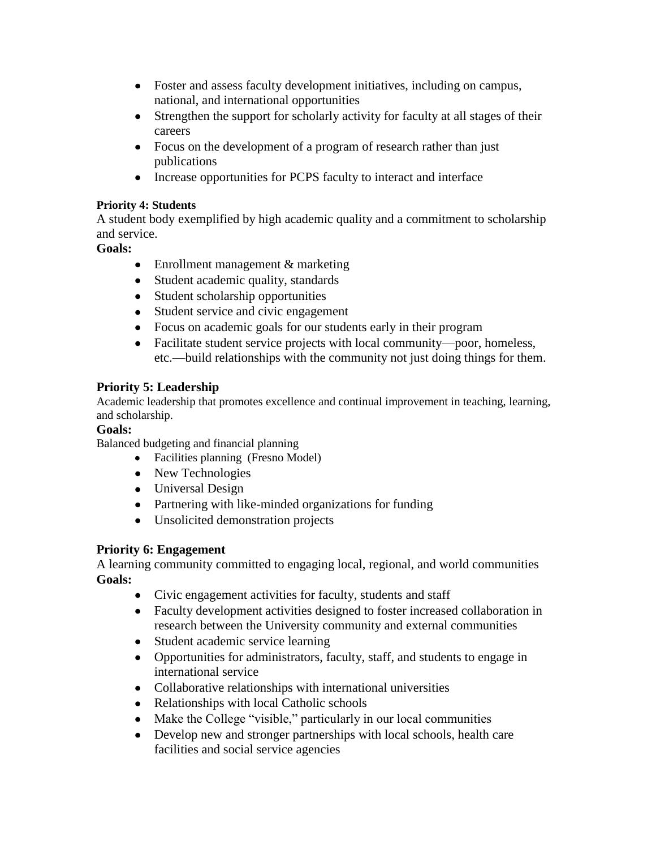- Foster and assess faculty development initiatives, including on campus, national, and international opportunities
- Strengthen the support for scholarly activity for faculty at all stages of their  $\bullet$ careers
- Focus on the development of a program of research rather than just publications
- Increase opportunities for PCPS faculty to interact and interface

## **Priority 4: Students**

A student body exemplified by high academic quality and a commitment to scholarship and service.

## **Goals:**

- Enrollment management & marketing
- Student academic quality, standards
- Student scholarship opportunities
- Student service and civic engagement
- Focus on academic goals for our students early in their program
- Facilitate student service projects with local community—poor, homeless, etc.—build relationships with the community not just doing things for them.

# **Priority 5: Leadership**

Academic leadership that promotes excellence and continual improvement in teaching, learning, and scholarship.

# **Goals:**

Balanced budgeting and financial planning

- Facilities planning (Fresno Model)
- New Technologies
- Universal Design
- Partnering with like-minded organizations for funding
- Unsolicited demonstration projects

# **Priority 6: Engagement**

A learning community committed to engaging local, regional, and world communities **Goals:**

- Civic engagement activities for faculty, students and staff
- Faculty development activities designed to foster increased collaboration in research between the University community and external communities
- Student academic service learning
- Opportunities for administrators, faculty, staff, and students to engage in international service
- Collaborative relationships with international universities
- Relationships with local Catholic schools
- Make the College "visible," particularly in our local communities
- Develop new and stronger partnerships with local schools, health care facilities and social service agencies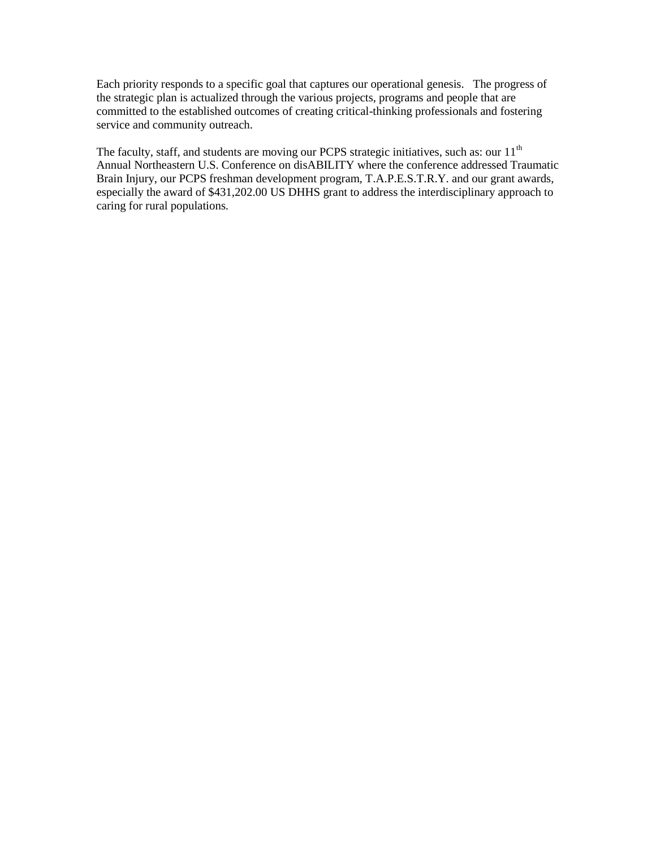Each priority responds to a specific goal that captures our operational genesis. The progress of the strategic plan is actualized through the various projects, programs and people that are committed to the established outcomes of creating critical-thinking professionals and fostering service and community outreach.

The faculty, staff, and students are moving our PCPS strategic initiatives, such as: our 11<sup>th</sup> Annual Northeastern U.S. Conference on disABILITY where the conference addressed Traumatic Brain Injury, our PCPS freshman development program, T.A.P.E.S.T.R.Y. and our grant awards, especially the award of \$431,202.00 US DHHS grant to address the interdisciplinary approach to caring for rural populations.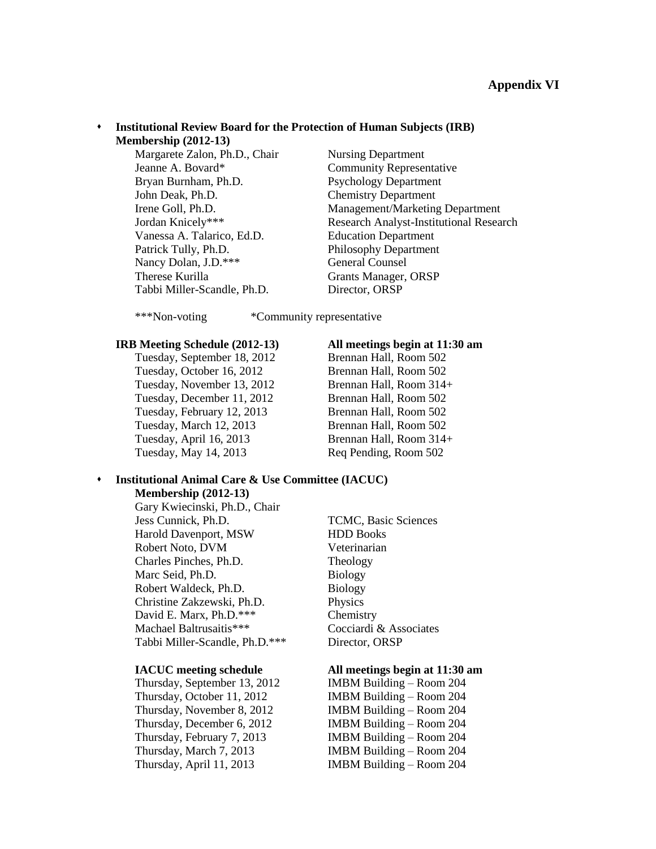#### **Institutional Review Board for the Protection of Human Subjects (IRB) Membership (2012-13)**

Margarete Zalon, Ph.D., Chair Nursing Department Jeanne A. Bovard\* Community Representative Bryan Burnham, Ph.D. Psychology Department John Deak, Ph.D. Chemistry Department Vanessa A. Talarico, Ed.D. Education Department Patrick Tully, Ph.D. Philosophy Department Nancy Dolan, J.D.\*\*\* General Counsel Therese Kurilla Grants Manager, ORSP Tabbi Miller-Scandle, Ph.D. Director, ORSP

Irene Goll, Ph.D. Management/Marketing Department Jordan Knicely\*\*\* Research Analyst-Institutional Research

\*\*\*Non-voting \*Community representative

#### **IRB Meeting Schedule (2012-13) All meetings begin at 11:30 am**

Tuesday, September 18, 2012 Brennan Hall, Room 502 Tuesday, October 16, 2012 Brennan Hall, Room 502 Tuesday, November 13, 2012 Brennan Hall, Room 314+ Tuesday, December 11, 2012 Brennan Hall, Room 502 Tuesday, February 12, 2013 Brennan Hall, Room 502 Tuesday, March 12, 2013 Brennan Hall, Room 502 Tuesday, April 16, 2013 Brennan Hall, Room 314+ Tuesday, May 14, 2013 Req Pending, Room 502

#### **Institutional Animal Care & Use Committee (IACUC)**

**Membership (2012-13)**

Gary Kwiecinski, Ph.D., Chair Jess Cunnick, Ph.D. TCMC, Basic Sciences Harold Davenport, MSW HDD Books Robert Noto, DVM Veterinarian Charles Pinches, Ph.D. Theology Marc Seid, Ph.D. Biology Robert Waldeck, Ph.D. Biology Christine Zakzewski, Ph.D. Physics David E. Marx, Ph.D.\*\*\* Chemistry Machael Baltrusaitis\*\*\* Cocciardi & Associates Tabbi Miller-Scandle, Ph.D.\*\*\* Director, ORSP

Thursday, September 13, 2012 IMBM Building – Room 204 Thursday, October 11, 2012 IMBM Building – Room 204 Thursday, November 8, 2012 IMBM Building – Room 204 Thursday, December 6, 2012 IMBM Building – Room 204 Thursday, February 7, 2013 IMBM Building – Room 204 Thursday, March 7, 2013 IMBM Building – Room 204 Thursday, April 11, 2013 IMBM Building – Room 204

#### **IACUC meeting schedule All meetings begin at 11:30 am**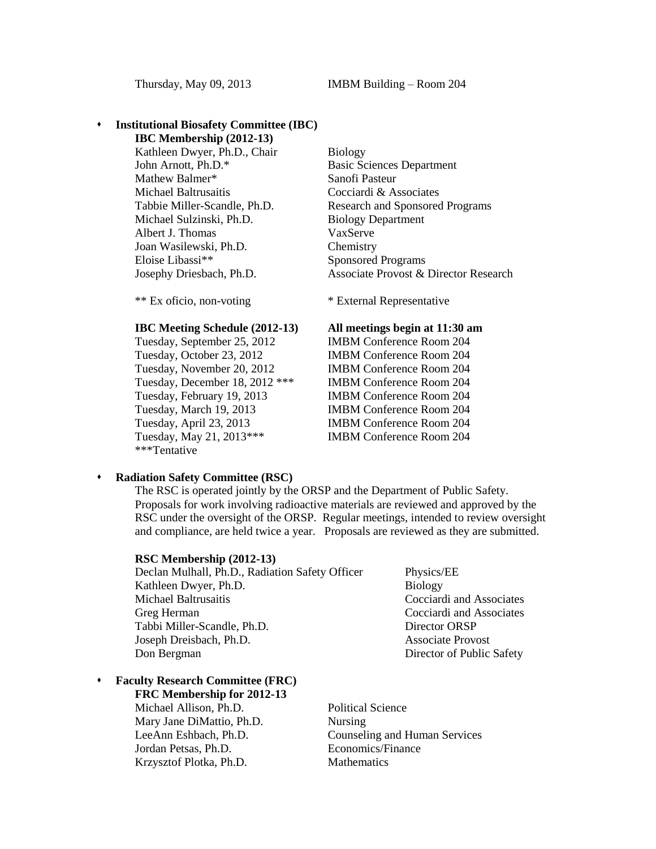## **Institutional Biosafety Committee (IBC)**

**IBC Membership (2012-13)** Kathleen Dwyer, Ph.D., Chair Biology John Arnott, Ph.D.\* Basic Sciences Department Mathew Balmer\* Sanofi Pasteur Michael Baltrusaitis Cocciardi & Associates Michael Sulzinski, Ph.D. Biology Department Albert J. Thomas VaxServe Joan Wasilewski, Ph.D. Chemistry Eloise Libassi\*\* Sponsored Programs

#### **IBC Meeting Schedule (2012-13) All meetings begin at 11:30 am**

Tuesday, September 25, 2012 IMBM Conference Room 204 Tuesday, October 23, 2012 IMBM Conference Room 204 Tuesday, November 20, 2012 IMBM Conference Room 204 Tuesday, December 18, 2012 \*\*\* IMBM Conference Room 204 Tuesday, February 19, 2013 IMBM Conference Room 204 Tuesday, March 19, 2013 IMBM Conference Room 204 Tuesday, April 23, 2013 IMBM Conference Room 204 Tuesday, May 21, 2013\*\*\* IMBM Conference Room 204 \*\*\*Tentative

Tabbie Miller-Scandle, Ph.D. Research and Sponsored Programs Josephy Driesbach, Ph.D. Associate Provost & Director Research

\*\* Ex oficio, non-voting \* External Representative

#### **Radiation Safety Committee (RSC)**

The RSC is operated jointly by the ORSP and the Department of Public Safety. Proposals for work involving radioactive materials are reviewed and approved by the RSC under the oversight of the ORSP. Regular meetings, intended to review oversight and compliance, are held twice a year. Proposals are reviewed as they are submitted.

| RSC Membership (2012-13)      |  |
|-------------------------------|--|
| Doclan Mulholl Dh D. Dodictic |  |

Declan Mulhall, Ph.D., Radiation Safety Officer Physics/EE Kathleen Dwyer, Ph.D. Biology Michael Baltrusaitis Cocciardi and Associates Greg Herman Cocciardi and Associates Tabbi Miller-Scandle, Ph.D. Director ORSP Joseph Dreisbach, Ph.D. Associate Provost Don Bergman Director of Public Safety

## **Faculty Research Committee (FRC)**

**FRC Membership for 2012-13**

Michael Allison, Ph.D. Political Science Mary Jane DiMattio, Ph.D. Nursing Jordan Petsas, Ph.D. Economics/Finance Krzysztof Plotka, Ph.D. Mathematics

LeeAnn Eshbach, Ph.D. Counseling and Human Services